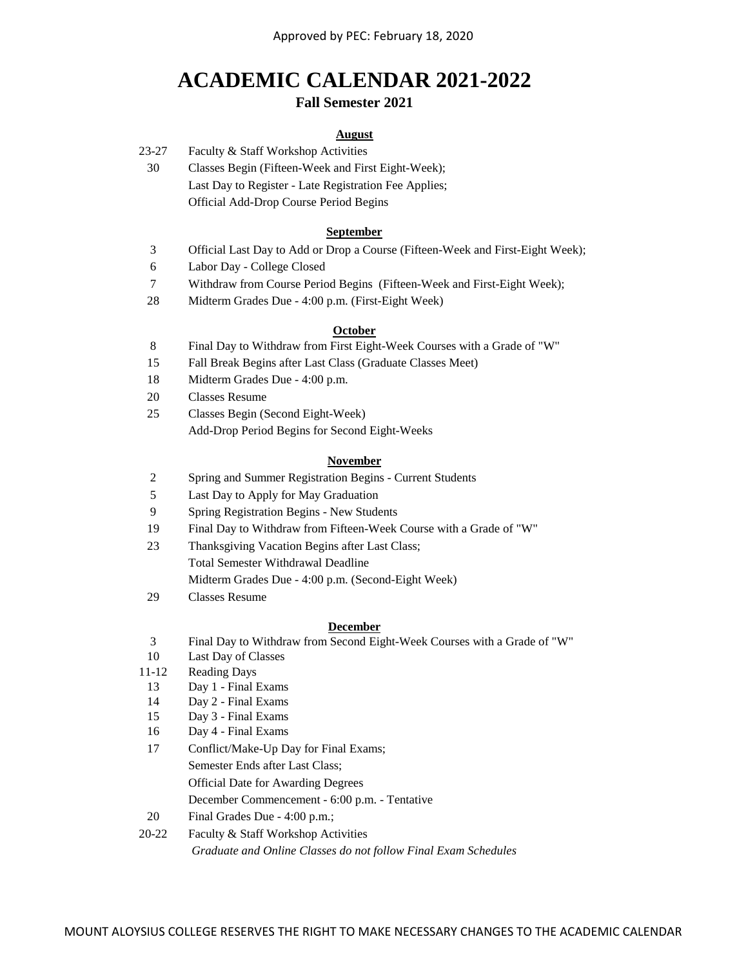# **ACADEMIC CALENDAR 2021-2022 Fall Semester 2021**

# **August**

- 23-27 Faculty & Staff Workshop Activities
	- 30 Official Add-Drop Course Period Begins Last Day to Register - Late Registration Fee Applies; Classes Begin (Fifteen-Week and First Eight-Week);

## **September**

- 3 Official Last Day to Add or Drop a Course (Fifteen-Week and First-Eight Week);
- 6 Labor Day - College Closed
- 7 Withdraw from Course Period Begins (Fifteen-Week and First-Eight Week);
- 28 Midterm Grades Due 4:00 p.m. (First-Eight Week)

## **October**

- 8 Final Day to Withdraw from First Eight-Week Courses with a Grade of "W"
- 15 Fall Break Begins after Last Class (Graduate Classes Meet)
- 18 Midterm Grades Due 4:00 p.m.
- 20 Classes Resume
- 25 Classes Begin (Second Eight-Week) Add-Drop Period Begins for Second Eight-Weeks

## **November**

- 2 Spring and Summer Registration Begins Current Students
- 5 Last Day to Apply for May Graduation
- 9 Spring Registration Begins New Students
- 19 Final Day to Withdraw from Fifteen-Week Course with a Grade of "W"
- 23 Thanksgiving Vacation Begins after Last Class; Total Semester Withdrawal Deadline
	- Midterm Grades Due 4:00 p.m. (Second-Eight Week)
- 29 Classes Resume

## **December**

- 3 Final Day to Withdraw from Second Eight-Week Courses with a Grade of "W"
- 10 Last Day of Classes
- 11-12 Reading Days
- 13 Day 1 Final Exams
- 14 Day 2 Final Exams
- 15 Day 3 Final Exams
- 16 Day 4 Final Exams
- 17 Conflict/Make-Up Day for Final Exams; Semester Ends after Last Class; Official Date for Awarding Degrees December Commencement - 6:00 p.m. - Tentative
- 20 Final Grades Due 4:00 p.m.;

# 20-22 Faculty & Staff Workshop Activities *Graduate and Online Classes do not follow Final Exam Schedules*